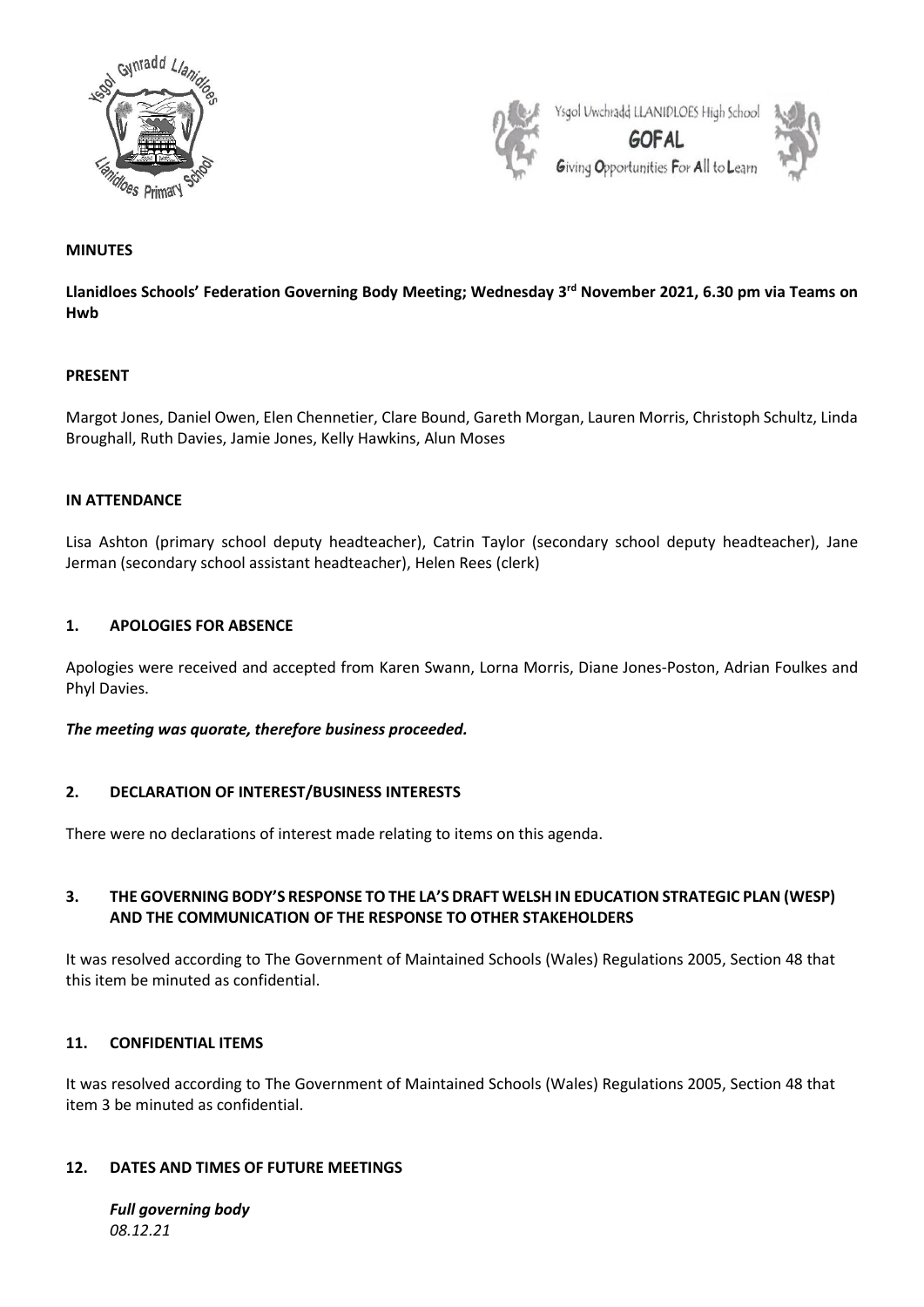



# **MINUTES**

**Llanidloes Schools' Federation Governing Body Meeting; Wednesday 3 rd November 2021, 6.30 pm via Teams on Hwb**

### **PRESENT**

Margot Jones, Daniel Owen, Elen Chennetier, Clare Bound, Gareth Morgan, Lauren Morris, Christoph Schultz, Linda Broughall, Ruth Davies, Jamie Jones, Kelly Hawkins, Alun Moses

### **IN ATTENDANCE**

Lisa Ashton (primary school deputy headteacher), Catrin Taylor (secondary school deputy headteacher), Jane Jerman (secondary school assistant headteacher), Helen Rees (clerk)

### **1. APOLOGIES FOR ABSENCE**

Apologies were received and accepted from Karen Swann, Lorna Morris, Diane Jones-Poston, Adrian Foulkes and Phyl Davies.

#### *The meeting was quorate, therefore business proceeded.*

## **2. DECLARATION OF INTEREST/BUSINESS INTERESTS**

There were no declarations of interest made relating to items on this agenda.

# **3. THE GOVERNING BODY'S RESPONSE TO THE LA'S DRAFT WELSH IN EDUCATION STRATEGIC PLAN (WESP) AND THE COMMUNICATION OF THE RESPONSE TO OTHER STAKEHOLDERS**

It was resolved according to The Government of Maintained Schools (Wales) Regulations 2005, Section 48 that this item be minuted as confidential.

### **11. CONFIDENTIAL ITEMS**

It was resolved according to The Government of Maintained Schools (Wales) Regulations 2005, Section 48 that item 3 be minuted as confidential.

#### **12. DATES AND TIMES OF FUTURE MEETINGS**

*Full governing body 08.12.21*